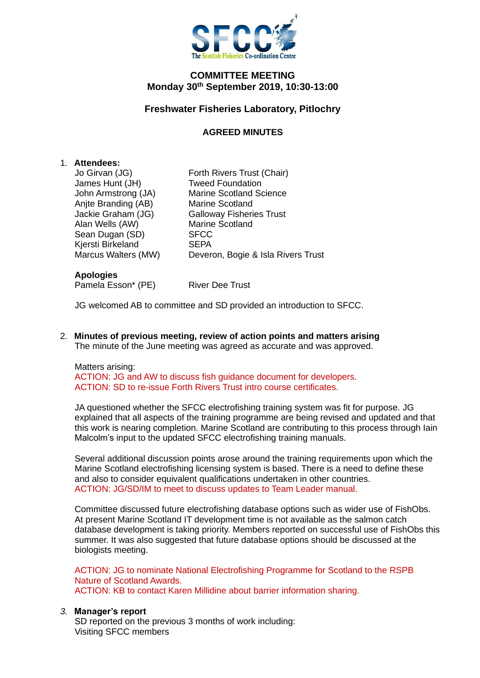

## **COMMITTEE MEETING Monday 30th September 2019, 10:30-13:00**

# **Freshwater Fisheries Laboratory, Pitlochry**

## **AGREED MINUTES**

### 1. **Attendees:**

James Hunt (JH) Tweed Foundation Anjte Branding (AB) Marine Scotland Alan Wells (AW) Marine Scotland<br>
Sean Dugan (SD) SFCC Sean Dugan (SD) Kjersti Birkeland SEPA

Jo Girvan (JG) Forth Rivers Trust (Chair) John Armstrong (JA) Marine Scotland Science Jackie Graham (JG) Galloway Fisheries Trust Marcus Walters (MW) Deveron, Bogie & Isla Rivers Trust

#### **Apologies**

Pamela Esson\* (PE) River Dee Trust

JG welcomed AB to committee and SD provided an introduction to SFCC.

2. **Minutes of previous meeting, review of action points and matters arising** The minute of the June meeting was agreed as accurate and was approved.

### Matters arising:

ACTION: JG and AW to discuss fish guidance document for developers. ACTION: SD to re-issue Forth Rivers Trust intro course certificates.

JA questioned whether the SFCC electrofishing training system was fit for purpose. JG explained that all aspects of the training programme are being revised and updated and that this work is nearing completion. Marine Scotland are contributing to this process through Iain Malcolm's input to the updated SFCC electrofishing training manuals.

Several additional discussion points arose around the training requirements upon which the Marine Scotland electrofishing licensing system is based. There is a need to define these and also to consider equivalent qualifications undertaken in other countries. ACTION: JG/SD/IM to meet to discuss updates to Team Leader manual.

Committee discussed future electrofishing database options such as wider use of FishObs. At present Marine Scotland IT development time is not available as the salmon catch database development is taking priority. Members reported on successful use of FishObs this summer. It was also suggested that future database options should be discussed at the biologists meeting.

ACTION: JG to nominate National Electrofishing Programme for Scotland to the RSPB Nature of Scotland Awards. ACTION: KB to contact Karen Millidine about barrier information sharing.

### *3.* **Manager's report**

SD reported on the previous 3 months of work including: Visiting SFCC members